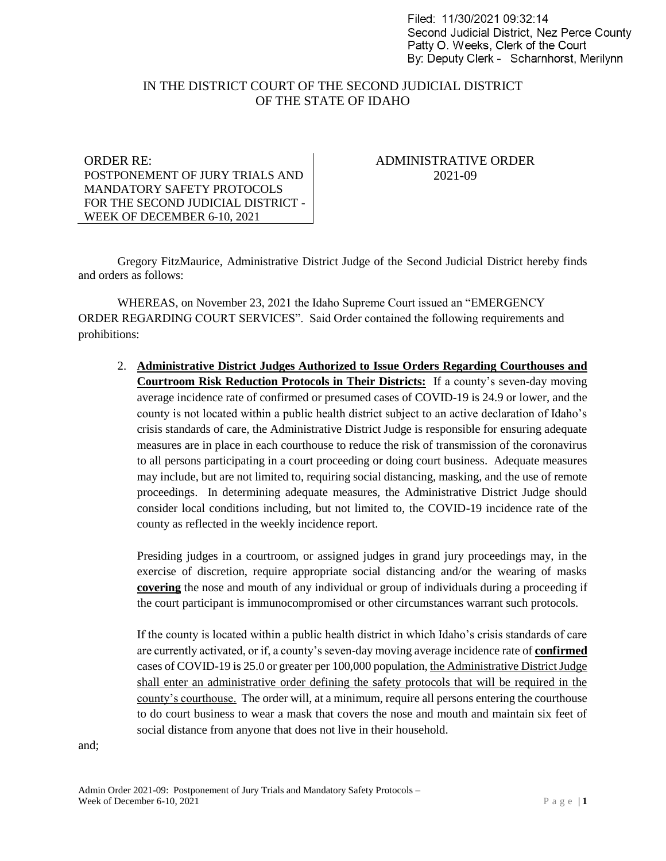Filed: 11/30/2021 09:32:14 Second Judicial District. Nez Perce County Patty O. Weeks, Clerk of the Court By: Deputy Clerk - Scharnhorst, Merilynn

## IN THE DISTRICT COURT OF THE SECOND JUDICIAL DISTRICT OF THE STATE OF IDAHO

ORDER RE: POSTPONEMENT OF JURY TRIALS AND MANDATORY SAFETY PROTOCOLS FOR THE SECOND JUDICIAL DISTRICT - WEEK OF DECEMBER 6-10, 2021

## ADMINISTRATIVE ORDER 2021-09

Gregory FitzMaurice, Administrative District Judge of the Second Judicial District hereby finds and orders as follows:

WHEREAS, on November 23, 2021 the Idaho Supreme Court issued an "EMERGENCY ORDER REGARDING COURT SERVICES". Said Order contained the following requirements and prohibitions:

2. **Administrative District Judges Authorized to Issue Orders Regarding Courthouses and Courtroom Risk Reduction Protocols in Their Districts:** If a county's seven-day moving average incidence rate of confirmed or presumed cases of COVID-19 is 24.9 or lower, and the county is not located within a public health district subject to an active declaration of Idaho's crisis standards of care, the Administrative District Judge is responsible for ensuring adequate measures are in place in each courthouse to reduce the risk of transmission of the coronavirus to all persons participating in a court proceeding or doing court business. Adequate measures may include, but are not limited to, requiring social distancing, masking, and the use of remote proceedings. In determining adequate measures, the Administrative District Judge should consider local conditions including, but not limited to, the COVID-19 incidence rate of the county as reflected in the weekly incidence report.

Presiding judges in a courtroom, or assigned judges in grand jury proceedings may, in the exercise of discretion, require appropriate social distancing and/or the wearing of masks **covering** the nose and mouth of any individual or group of individuals during a proceeding if the court participant is immunocompromised or other circumstances warrant such protocols.

If the county is located within a public health district in which Idaho's crisis standards of care are currently activated, or if, a county's seven-day moving average incidence rate of **confirmed** cases of COVID-19 is 25.0 or greater per 100,000 population, the Administrative District Judge shall enter an administrative order defining the safety protocols that will be required in the county's courthouse. The order will, at a minimum, require all persons entering the courthouse to do court business to wear a mask that covers the nose and mouth and maintain six feet of social distance from anyone that does not live in their household.

and;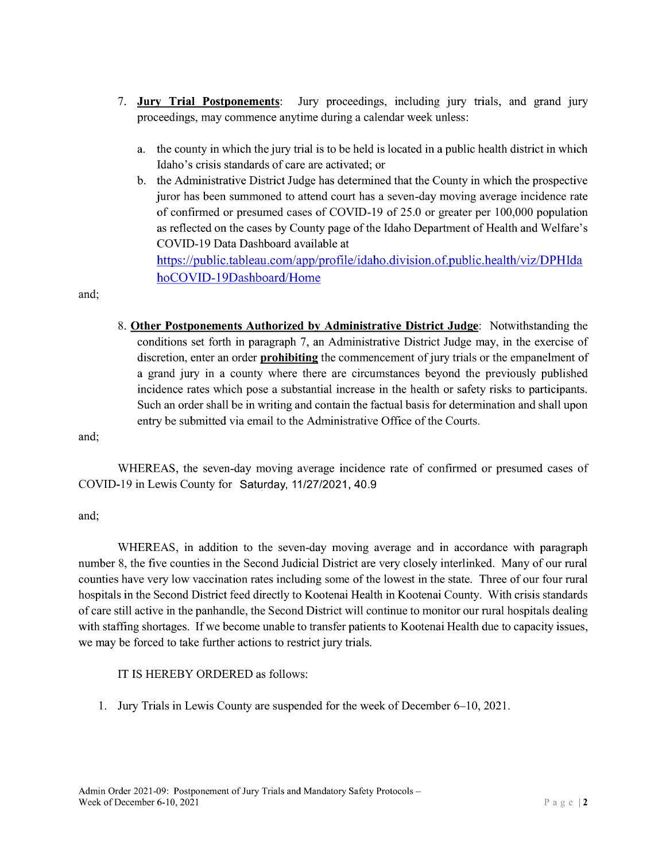- 7. Jury Trial Postponements: Jury proceedings, including jury trials, and grand jury proceedings, may commence anytime during a calendar week unless:
	- a. the county in which the jury trial is to be held is located in a public health district in which Idaho's crisis standards of care are activated; or
	- b. the Administrative District Judge has determined that the County in which the prospective juror has been summoned to attend court has seven-day moving average incidence rate of confirmed or presumed cases of COVID-19 of 25.0 or greater per 100,000 population as reflected on the cases by County page ofthe Idaho Department of Health and Welfare's COVID-19 Data Dashboard available at https://public.tableau.com/app/profile/idaho.division.of.public.health/viz/DPHIda

and;

8. Other Postponements Authorized by Administrative District Judge: Notwithstanding the conditions set forth in paragraph 7, an Administrative District Judge may, in the exercise of discretion, enter an order **prohibiting** the commencement of jury trials or the empanelment of a grand jury in a county where there are circumstances beyond the previously published incidence rates which pose a substantial increase in the health or safety risks to participants. Such an order shall be in writing and contain the factual basis for determination and shall upon entry be submitted via email to the Administrative Office of the Courts.

and;

WHEREAS, the seven-day moving average incidence rate of confirmed or presumed cases of COVID-19 in Lewis County for Saturday, 11/27/2021, 40.9

and;

WHEREAS, in addition to the seven-day moving average and in accordance with paragraph number 8, the five counties in the Second Judicial District are very closely interlinked. Many of our rural counties have very low vaccination rates including some of the lowest in the state. Three of our four rural hospitals in the Second District feed directly to Kootenai Health in Kootenai County. With crisis standards of care still active in the panhandle, the Second District will continue to monitor our rural hospitals dealing with staffing shortages. If we become unable to transfer patients to Kootenai Health due to capacity issues, we may be forced to take further actions to restrict jury trials.

1T IS HEREBY ORDERED as follows:

hoCOVID-19Dashboard/Home

1. Jury Trials in Lewis County are suspended for the week of December 6—10, 2021.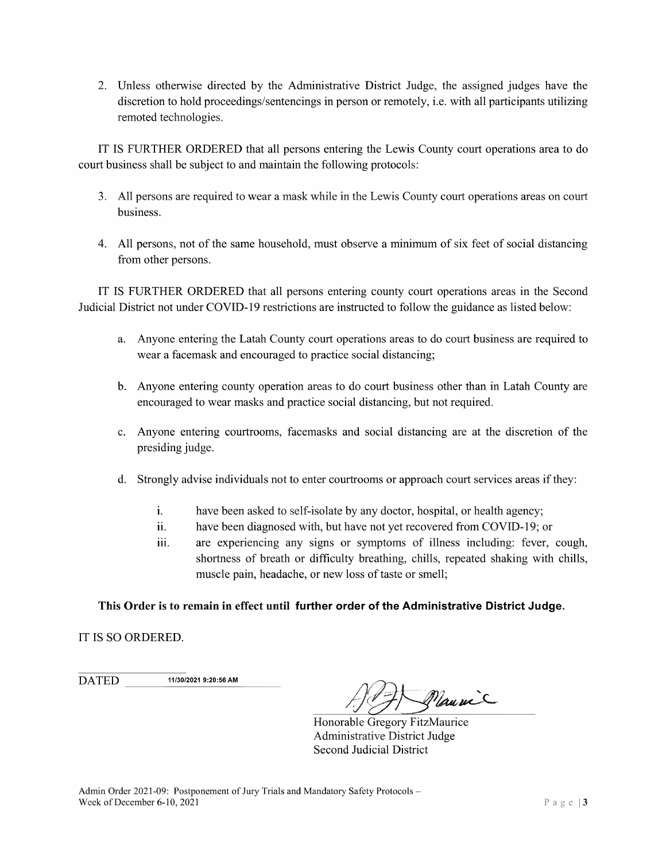2. Unless otherwise directed by the Administrative District Judge, the assigned judges have the discretion to hold proceedings/sentencings in person or remotely, i.e. with all participants utilizing remoted technologies.

1T IS FURTHER ORDERED that all persons entering the Lewis County court operations area to do court business shall be subject to and maintain the following protocols:

- 3. A11 persons are required to wear mask while in the Lewis County court operations areas on court business.
- 4. All persons, not of the same household, must observe a minimum of six feet of social distancing from other persons.

1T IS FURTHER ORDERED that all persons entering county court operations areas in the Second Judicial District not under COVID-19 restrictions are instructed to follow the guidance as listed below:

- a. Anyone entering the Latah County court operations areas to do court business are required to wear a facemask and encouraged to practice social distancing;
- b. Anyone entering county operation areas to do court business other than in Latah County are encouraged to wear masks and practice social distancing, but not required.
- c. Anyone entering courtrooms, facemasks and social distancing are at the discretion of the presiding judge.
- d. Strongly advise individuals not to enter courtrooms or approach court services areas ifthey:
	- i. have been asked to self-isolate by any doctor, hospital, or health agency;
	- ii. have been diagnosed with, but have not yet recovered from COVlD-19; or
	- iii. are experiencing any signs or symptoms of illness including: fever, cough, shortness of breath or difficulty breathing, chills, repeated shaking with chills, muscle pain, headache, or new loss of taste or smell;

## This Order is to remain in effect until further order of the Administrative District Judge.

1T IS SO ORDERED.

**DATED** 11/30/2021 9:20:56 AM

Mauric

Honorable Gregory FitzMaurice Administrative District Judge Second Judicial District